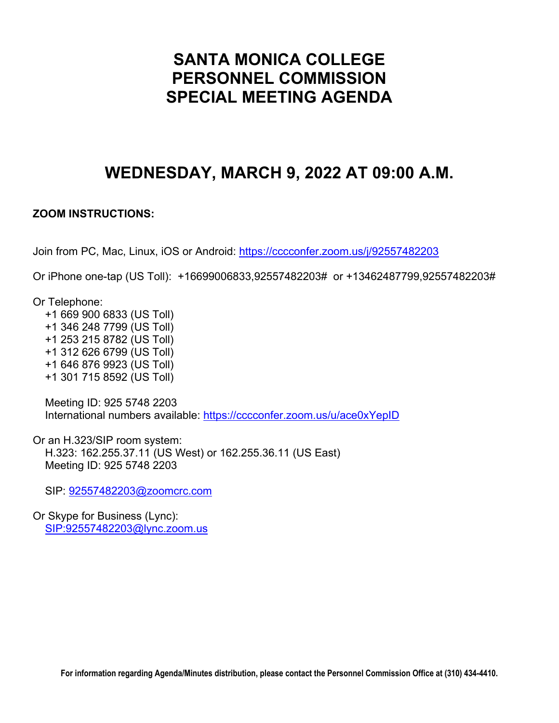# **SANTA MONICA COLLEGE PERSONNEL COMMISSION SPECIAL MEETING AGENDA**

# **WEDNESDAY, MARCH 9, 2022 AT 09:00 A.M.**

### **ZOOM INSTRUCTIONS:**

Join from PC, Mac, Linux, iOS or Android:<https://cccconfer.zoom.us/j/92557482203>

Or iPhone one-tap (US Toll): +16699006833,92557482203# or +13462487799,92557482203#

Or Telephone:

 +1 669 900 6833 (US Toll) +1 346 248 7799 (US Toll) +1 253 215 8782 (US Toll) +1 312 626 6799 (US Toll) +1 646 876 9923 (US Toll) +1 301 715 8592 (US Toll)

 Meeting ID: 925 5748 2203 International numbers available:<https://cccconfer.zoom.us/u/ace0xYepID>

Or an H.323/SIP room system: H.323: 162.255.37.11 (US West) or 162.255.36.11 (US East) Meeting ID: 925 5748 2203

SIP: [92557482203@zoomcrc.com](mailto:92557482203@zoomcrc.com)

Or Skype for Business (Lync): [SIP:92557482203@lync.zoom.us](sip:92557482203@lync.zoom.us)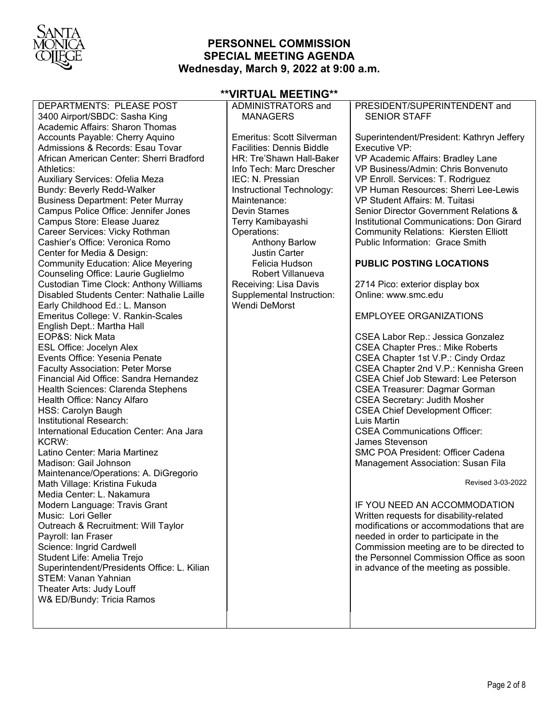

# **PERSONNEL COMMISSION SPECIAL MEETING AGENDA Wednesday, March 9, 2022 at 9:00 a.m.**

**\*\*VIRTUAL MEETING\*\***

| DEPARTMENTS: PLEASE POST<br>3400 Airport/SBDC: Sasha King | ADMINISTRATORS and<br><b>MANAGERS</b> | PRESIDENT/SUPERINTENDENT and<br><b>SENIOR STAFF</b> |
|-----------------------------------------------------------|---------------------------------------|-----------------------------------------------------|
| Academic Affairs: Sharon Thomas                           |                                       |                                                     |
| Accounts Payable: Cherry Aquino                           | Emeritus: Scott Silverman             | Superintendent/President: Kathryn Jeffery           |
| Admissions & Records: Esau Tovar                          | <b>Facilities: Dennis Biddle</b>      | Executive VP:                                       |
| African American Center: Sherri Bradford                  | HR: Tre'Shawn Hall-Baker              | VP Academic Affairs: Bradley Lane                   |
| Athletics:                                                | Info Tech: Marc Drescher              | VP Business/Admin: Chris Bonvenuto                  |
| Auxiliary Services: Ofelia Meza                           | IEC: N. Pressian                      | VP Enroll. Services: T. Rodriguez                   |
| Bundy: Beverly Redd-Walker                                | Instructional Technology:             | VP Human Resources: Sherri Lee-Lewis                |
| <b>Business Department: Peter Murray</b>                  | Maintenance:                          | VP Student Affairs: M. Tuitasi                      |
| Campus Police Office: Jennifer Jones                      | <b>Devin Starnes</b>                  | Senior Director Government Relations &              |
| Campus Store: Elease Juarez                               | Terry Kamibayashi                     | Institutional Communications: Don Girard            |
| Career Services: Vicky Rothman                            | Operations:                           | <b>Community Relations: Kiersten Elliott</b>        |
| Cashier's Office: Veronica Romo                           | <b>Anthony Barlow</b>                 | Public Information: Grace Smith                     |
| Center for Media & Design:                                | <b>Justin Carter</b>                  |                                                     |
| <b>Community Education: Alice Meyering</b>                | Felicia Hudson                        | <b>PUBLIC POSTING LOCATIONS</b>                     |
| Counseling Office: Laurie Guglielmo                       | Robert Villanueva                     |                                                     |
| Custodian Time Clock: Anthony Williams                    | Receiving: Lisa Davis                 | 2714 Pico: exterior display box                     |
| Disabled Students Center: Nathalie Laille                 | Supplemental Instruction:             | Online: www.smc.edu                                 |
| Early Childhood Ed.: L. Manson                            | <b>Wendi DeMorst</b>                  |                                                     |
| Emeritus College: V. Rankin-Scales                        |                                       | <b>EMPLOYEE ORGANIZATIONS</b>                       |
| English Dept.: Martha Hall                                |                                       |                                                     |
| EOP&S: Nick Mata                                          |                                       | CSEA Labor Rep.: Jessica Gonzalez                   |
| <b>ESL Office: Jocelyn Alex</b>                           |                                       | <b>CSEA Chapter Pres.: Mike Roberts</b>             |
| Events Office: Yesenia Penate                             |                                       | CSEA Chapter 1st V.P.: Cindy Ordaz                  |
| <b>Faculty Association: Peter Morse</b>                   |                                       | CSEA Chapter 2nd V.P.: Kennisha Green               |
| Financial Aid Office: Sandra Hernandez                    |                                       | <b>CSEA Chief Job Steward: Lee Peterson</b>         |
| Health Sciences: Clarenda Stephens                        |                                       | <b>CSEA Treasurer: Dagmar Gorman</b>                |
| Health Office: Nancy Alfaro                               |                                       | <b>CSEA Secretary: Judith Mosher</b>                |
| HSS: Carolyn Baugh                                        |                                       | <b>CSEA Chief Development Officer:</b>              |
| Institutional Research:                                   |                                       | Luis Martin                                         |
| International Education Center: Ana Jara                  |                                       | <b>CSEA Communications Officer:</b>                 |
| KCRW:                                                     |                                       | James Stevenson                                     |
| Latino Center: Maria Martinez                             |                                       | <b>SMC POA President: Officer Cadena</b>            |
| Madison: Gail Johnson                                     |                                       | Management Association: Susan Fila                  |
| Maintenance/Operations: A. DiGregorio                     |                                       |                                                     |
| Math Village: Kristina Fukuda                             |                                       | Revised 3-03-2022                                   |
| Media Center: L. Nakamura                                 |                                       |                                                     |
| Modern Language: Travis Grant                             |                                       | IF YOU NEED AN ACCOMMODATION                        |
| Music: Lori Geller                                        |                                       | Written requests for disability-related             |
| Outreach & Recruitment: Will Taylor                       |                                       | modifications or accommodations that are            |
| Payroll: Ian Fraser                                       |                                       | needed in order to participate in the               |
| Science: Ingrid Cardwell                                  |                                       | Commission meeting are to be directed to            |
| Student Life: Amelia Trejo                                |                                       | the Personnel Commission Office as soon             |
| Superintendent/Presidents Office: L. Kilian               |                                       | in advance of the meeting as possible.              |
| STEM: Vanan Yahnian                                       |                                       |                                                     |
| Theater Arts: Judy Louff                                  |                                       |                                                     |
| W& ED/Bundy: Tricia Ramos                                 |                                       |                                                     |
|                                                           |                                       |                                                     |
|                                                           |                                       |                                                     |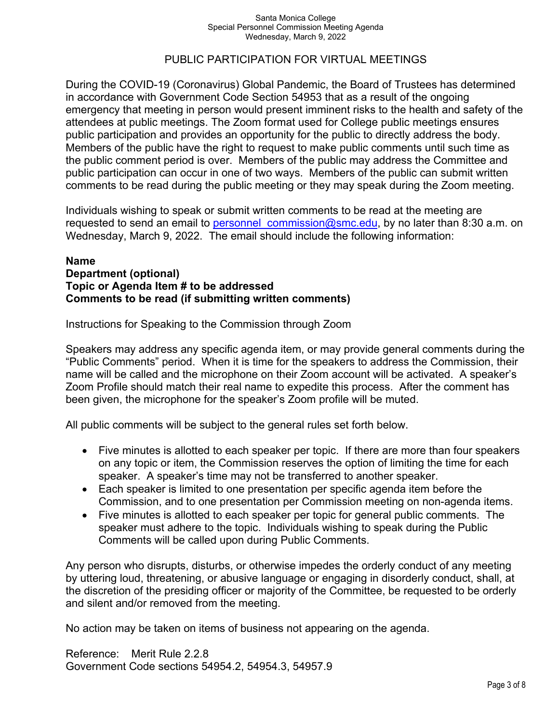#### Santa Monica College Special Personnel Commission Meeting Agenda Wednesday, March 9, 2022

### PUBLIC PARTICIPATION FOR VIRTUAL MEETINGS

During the COVID-19 (Coronavirus) Global Pandemic, the Board of Trustees has determined in accordance with Government Code Section 54953 that as a result of the ongoing emergency that meeting in person would present imminent risks to the health and safety of the attendees at public meetings. The Zoom format used for College public meetings ensures public participation and provides an opportunity for the public to directly address the body. Members of the public have the right to request to make public comments until such time as the public comment period is over. Members of the public may address the Committee and public participation can occur in one of two ways. Members of the public can submit written comments to be read during the public meeting or they may speak during the Zoom meeting.

Individuals wishing to speak or submit written comments to be read at the meeting are requested to send an email to personnel commission@smc.edu, by no later than 8:30 a.m. on Wednesday, March 9, 2022. The email should include the following information:

#### **Name Department (optional) Topic or Agenda Item # to be addressed Comments to be read (if submitting written comments)**

Instructions for Speaking to the Commission through Zoom

Speakers may address any specific agenda item, or may provide general comments during the "Public Comments" period. When it is time for the speakers to address the Commission, their name will be called and the microphone on their Zoom account will be activated. A speaker's Zoom Profile should match their real name to expedite this process. After the comment has been given, the microphone for the speaker's Zoom profile will be muted.

All public comments will be subject to the general rules set forth below.

- Five minutes is allotted to each speaker per topic. If there are more than four speakers on any topic or item, the Commission reserves the option of limiting the time for each speaker. A speaker's time may not be transferred to another speaker.
- Each speaker is limited to one presentation per specific agenda item before the Commission, and to one presentation per Commission meeting on non-agenda items.
- Five minutes is allotted to each speaker per topic for general public comments. The speaker must adhere to the topic. Individuals wishing to speak during the Public Comments will be called upon during Public Comments.

Any person who disrupts, disturbs, or otherwise impedes the orderly conduct of any meeting by uttering loud, threatening, or abusive language or engaging in disorderly conduct, shall, at the discretion of the presiding officer or majority of the Committee, be requested to be orderly and silent and/or removed from the meeting.

No action may be taken on items of business not appearing on the agenda.

Reference: Merit Rule 2.2.8 Government Code sections 54954.2, 54954.3, 54957.9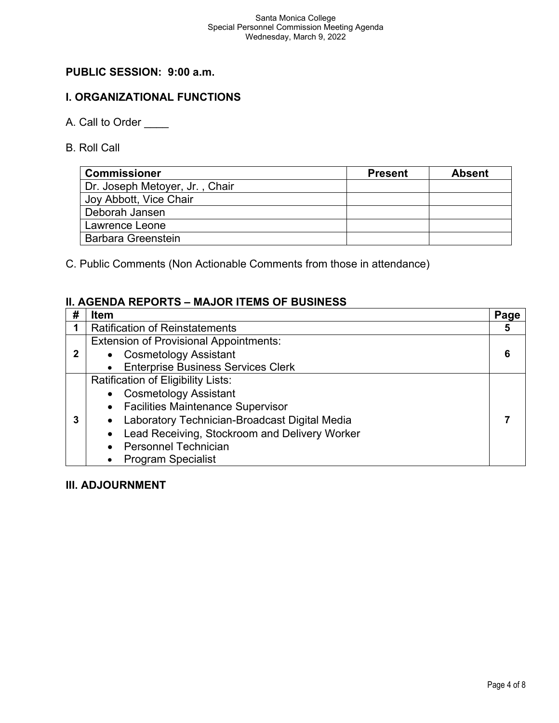# **PUBLIC SESSION: 9:00 a.m.**

# **I. ORGANIZATIONAL FUNCTIONS**

- A. Call to Order
- B. Roll Call

| <b>Commissioner</b>            | <b>Present</b> | <b>Absent</b> |
|--------------------------------|----------------|---------------|
| Dr. Joseph Metoyer, Jr., Chair |                |               |
| Joy Abbott, Vice Chair         |                |               |
| Deborah Jansen                 |                |               |
| Lawrence Leone                 |                |               |
| <b>Barbara Greenstein</b>      |                |               |

C. Public Comments (Non Actionable Comments from those in attendance)

## **II. AGENDA REPORTS – MAJOR ITEMS OF BUSINESS**

| #           | <b>Item</b>                                     | Page |
|-------------|-------------------------------------------------|------|
|             | <b>Ratification of Reinstatements</b>           | 5    |
|             | <b>Extension of Provisional Appointments:</b>   |      |
| $\mathbf 2$ | • Cosmetology Assistant                         | 6    |
|             | • Enterprise Business Services Clerk            |      |
|             | Ratification of Eligibility Lists:              |      |
|             | • Cosmetology Assistant                         |      |
|             | • Facilities Maintenance Supervisor             |      |
|             | Laboratory Technician-Broadcast Digital Media   |      |
|             | • Lead Receiving, Stockroom and Delivery Worker |      |
|             | • Personnel Technician                          |      |
|             | • Program Specialist                            |      |

## **III. ADJOURNMENT**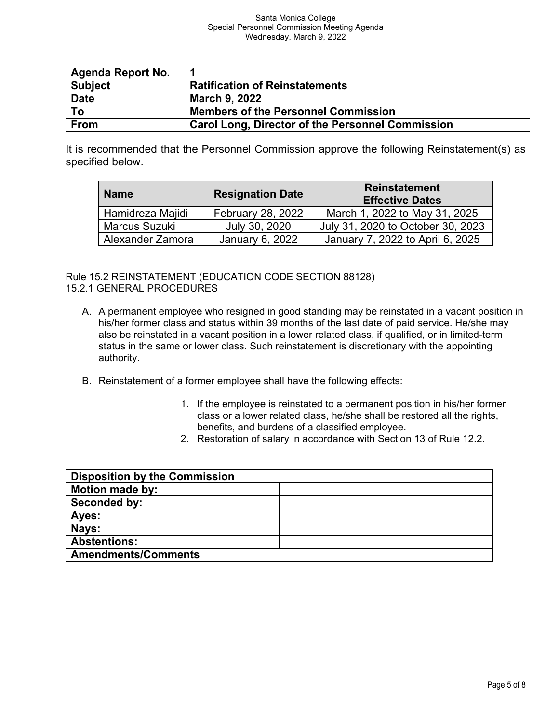#### Santa Monica College Special Personnel Commission Meeting Agenda Wednesday, March 9, 2022

| <b>Agenda Report No.</b> |                                                         |
|--------------------------|---------------------------------------------------------|
| <b>Subject</b>           | <b>Ratification of Reinstatements</b>                   |
| <b>Date</b>              | <b>March 9, 2022</b>                                    |
| To                       | <b>Members of the Personnel Commission</b>              |
| <b>From</b>              | <b>Carol Long, Director of the Personnel Commission</b> |

It is recommended that the Personnel Commission approve the following Reinstatement(s) as specified below.

| <b>Name</b>      | <b>Resignation Date</b>  | <b>Reinstatement</b><br><b>Effective Dates</b> |
|------------------|--------------------------|------------------------------------------------|
| Hamidreza Majidi | <b>February 28, 2022</b> | March 1, 2022 to May 31, 2025                  |
| Marcus Suzuki    | July 30, 2020            | July 31, 2020 to October 30, 2023              |
| Alexander Zamora | January 6, 2022          | January 7, 2022 to April 6, 2025               |

Rule 15.2 REINSTATEMENT (EDUCATION CODE SECTION 88128) 15.2.1 GENERAL PROCEDURES

- A. A permanent employee who resigned in good standing may be reinstated in a vacant position in his/her former class and status within 39 months of the last date of paid service. He/she may also be reinstated in a vacant position in a lower related class, if qualified, or in limited-term status in the same or lower class. Such reinstatement is discretionary with the appointing authority.
- B. Reinstatement of a former employee shall have the following effects:
	- 1. If the employee is reinstated to a permanent position in his/her former class or a lower related class, he/she shall be restored all the rights, benefits, and burdens of a classified employee.
	- 2. Restoration of salary in accordance with Section 13 of Rule 12.2.

| <b>Disposition by the Commission</b> |  |
|--------------------------------------|--|
| <b>Motion made by:</b>               |  |
| Seconded by:                         |  |
| Ayes:                                |  |
| Nays:                                |  |
| <b>Abstentions:</b>                  |  |
| <b>Amendments/Comments</b>           |  |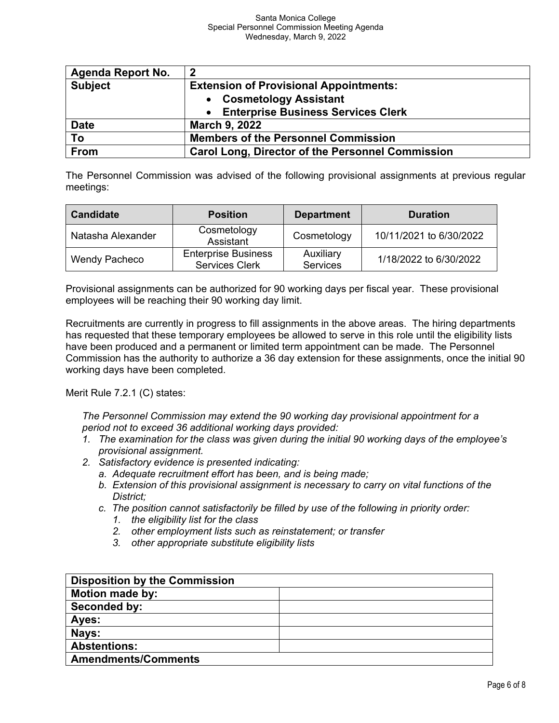| <b>Agenda Report No.</b> | $\overline{2}$                                          |
|--------------------------|---------------------------------------------------------|
| <b>Subject</b>           | <b>Extension of Provisional Appointments:</b>           |
|                          | • Cosmetology Assistant                                 |
|                          | • Enterprise Business Services Clerk                    |
| <b>Date</b>              | <b>March 9, 2022</b>                                    |
| To                       | <b>Members of the Personnel Commission</b>              |
| From                     | <b>Carol Long, Director of the Personnel Commission</b> |

The Personnel Commission was advised of the following provisional assignments at previous regular meetings:

| <b>Candidate</b>     | <b>Position</b>                                     | <b>Department</b>            | <b>Duration</b>         |
|----------------------|-----------------------------------------------------|------------------------------|-------------------------|
| Natasha Alexander    | Cosmetology<br>Assistant                            | Cosmetology                  | 10/11/2021 to 6/30/2022 |
| <b>Wendy Pacheco</b> | <b>Enterprise Business</b><br><b>Services Clerk</b> | Auxiliary<br><b>Services</b> | 1/18/2022 to 6/30/2022  |

Provisional assignments can be authorized for 90 working days per fiscal year. These provisional employees will be reaching their 90 working day limit.

Recruitments are currently in progress to fill assignments in the above areas. The hiring departments has requested that these temporary employees be allowed to serve in this role until the eligibility lists have been produced and a permanent or limited term appointment can be made. The Personnel Commission has the authority to authorize a 36 day extension for these assignments, once the initial 90 working days have been completed.

Merit Rule 7.2.1 (C) states:

*The Personnel Commission may extend the 90 working day provisional appointment for a period not to exceed 36 additional working days provided:*

- *1. The examination for the class was given during the initial 90 working days of the employee's provisional assignment.*
- *2. Satisfactory evidence is presented indicating:*
	- *a. Adequate recruitment effort has been, and is being made;*
	- *b. Extension of this provisional assignment is necessary to carry on vital functions of the District;*
	- *c. The position cannot satisfactorily be filled by use of the following in priority order:*
		- *1. the eligibility list for the class*
		- *2. other employment lists such as reinstatement; or transfer*
		- *3. other appropriate substitute eligibility lists*

| <b>Disposition by the Commission</b> |  |
|--------------------------------------|--|
| <b>Motion made by:</b>               |  |
| Seconded by:                         |  |
| Ayes:                                |  |
| Nays:                                |  |
| <b>Abstentions:</b>                  |  |
| <b>Amendments/Comments</b>           |  |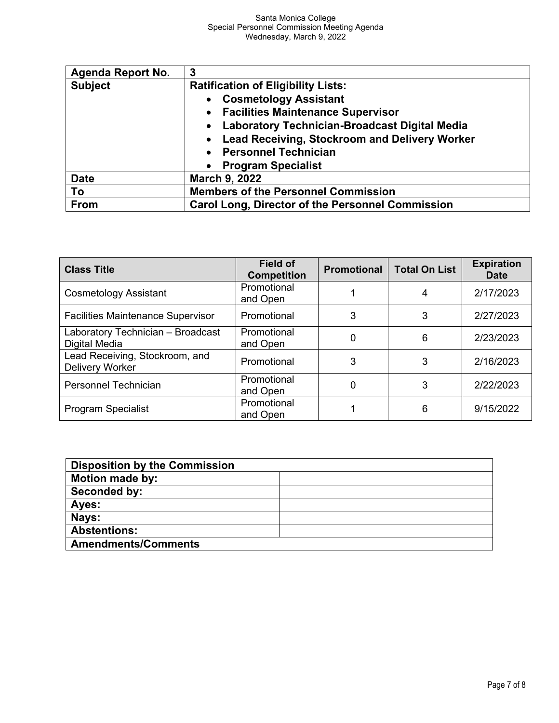| <b>Agenda Report No.</b> | 3                                                       |  |
|--------------------------|---------------------------------------------------------|--|
| <b>Subject</b>           | <b>Ratification of Eligibility Lists:</b>               |  |
|                          | <b>Cosmetology Assistant</b>                            |  |
|                          | • Facilities Maintenance Supervisor                     |  |
|                          | <b>Laboratory Technician-Broadcast Digital Media</b>    |  |
|                          | <b>Lead Receiving, Stockroom and Delivery Worker</b>    |  |
|                          | <b>Personnel Technician</b><br>$\bullet$                |  |
|                          | <b>Program Specialist</b>                               |  |
| <b>Date</b>              | <b>March 9, 2022</b>                                    |  |
| To                       | <b>Members of the Personnel Commission</b>              |  |
| From                     | <b>Carol Long, Director of the Personnel Commission</b> |  |

| <b>Class Title</b>                                 | <b>Field of</b><br><b>Competition</b> | <b>Promotional</b> | <b>Total On List</b> | <b>Expiration</b><br><b>Date</b> |
|----------------------------------------------------|---------------------------------------|--------------------|----------------------|----------------------------------|
| <b>Cosmetology Assistant</b>                       | Promotional<br>and Open               |                    |                      | 2/17/2023                        |
| <b>Facilities Maintenance Supervisor</b>           | Promotional                           | 3                  | 3                    | 2/27/2023                        |
| Laboratory Technician - Broadcast<br>Digital Media | Promotional<br>and Open               | 0                  | 6                    | 2/23/2023                        |
| Lead Receiving, Stockroom, and<br>Delivery Worker  | Promotional                           | 3                  | 3                    | 2/16/2023                        |
| Personnel Technician                               | Promotional<br>and Open               | 0                  | 3                    | 2/22/2023                        |
| Program Specialist                                 | Promotional<br>and Open               |                    | 6                    | 9/15/2022                        |

| <b>Disposition by the Commission</b> |  |
|--------------------------------------|--|
| <b>Motion made by:</b>               |  |
| Seconded by:                         |  |
| Ayes:                                |  |
| Nays:                                |  |
| <b>Abstentions:</b>                  |  |
| <b>Amendments/Comments</b>           |  |